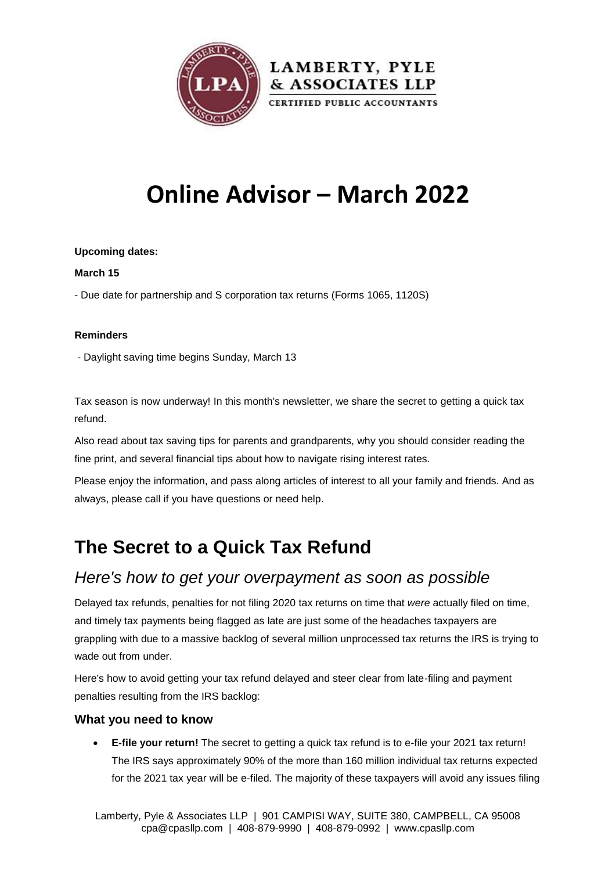

# **Online Advisor – March 2022**

#### **Upcoming dates:**

#### **March 15**

- Due date for partnership and S corporation tax returns (Forms 1065, 1120S)

#### **Reminders**

- Daylight saving time begins Sunday, March 13

Tax season is now underway! In this month's newsletter, we share the secret to getting a quick tax refund.

Also read about tax saving tips for parents and grandparents, why you should consider reading the fine print, and several financial tips about how to navigate rising interest rates.

Please enjoy the information, and pass along articles of interest to all your family and friends. And as always, please call if you have questions or need help.

## **The Secret to a Quick Tax Refund**

### *Here's how to get your overpayment as soon as possible*

Delayed tax refunds, penalties for not filing 2020 tax returns on time that *were* actually filed on time, and timely tax payments being flagged as late are just some of the headaches taxpayers are grappling with due to a massive backlog of several million unprocessed tax returns the IRS is trying to wade out from under.

Here's how to avoid getting your tax refund delayed and steer clear from late-filing and payment penalties resulting from the IRS backlog:

#### **What you need to know**

 **E-file your return!** The secret to getting a quick tax refund is to e-file your 2021 tax return! The IRS says approximately 90% of the more than 160 million individual tax returns expected for the 2021 tax year will be e-filed. The majority of these taxpayers will avoid any issues filing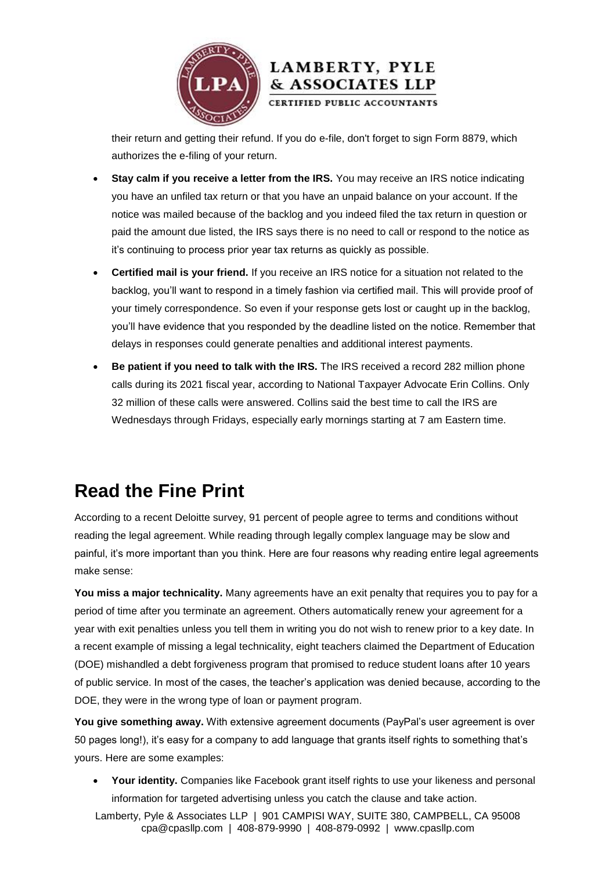

their return and getting their refund. If you do e-file, don't forget to sign Form 8879, which authorizes the e-filing of your return.

& ASSOCIATES LLP

- **Stay calm if you receive a letter from the IRS.** You may receive an IRS notice indicating you have an unfiled tax return or that you have an unpaid balance on your account. If the notice was mailed because of the backlog and you indeed filed the tax return in question or paid the amount due listed, the IRS says there is no need to call or respond to the notice as it's continuing to process prior year tax returns as quickly as possible.
- **Certified mail is your friend.** If you receive an IRS notice for a situation not related to the backlog, you'll want to respond in a timely fashion via certified mail. This will provide proof of your timely correspondence. So even if your response gets lost or caught up in the backlog, you'll have evidence that you responded by the deadline listed on the notice. Remember that delays in responses could generate penalties and additional interest payments.
- **Be patient if you need to talk with the IRS.** The IRS received a record 282 million phone calls during its 2021 fiscal year, according to National Taxpayer Advocate Erin Collins. Only 32 million of these calls were answered. Collins said the best time to call the IRS are Wednesdays through Fridays, especially early mornings starting at 7 am Eastern time.

## **Read the Fine Print**

According to a recent Deloitte survey, 91 percent of people agree to terms and conditions without reading the legal agreement. While reading through legally complex language may be slow and painful, it's more important than you think. Here are four reasons why reading entire legal agreements make sense:

**You miss a major technicality.** Many agreements have an exit penalty that requires you to pay for a period of time after you terminate an agreement. Others automatically renew your agreement for a year with exit penalties unless you tell them in writing you do not wish to renew prior to a key date. In a recent example of missing a legal technicality, eight teachers claimed the Department of Education (DOE) mishandled a debt forgiveness program that promised to reduce student loans after 10 years of public service. In most of the cases, the teacher's application was denied because, according to the DOE, they were in the wrong type of loan or payment program.

**You give something away.** With extensive agreement documents (PayPal's user agreement is over 50 pages long!), it's easy for a company to add language that grants itself rights to something that's yours. Here are some examples:

 **Your identity.** Companies like Facebook grant itself rights to use your likeness and personal information for targeted advertising unless you catch the clause and take action.

Lamberty, Pyle & Associates LLP | 901 CAMPISI WAY, SUITE 380, CAMPBELL, CA 95008 cpa@cpasllp.com | 408-879-9990 | 408-879-0992 | www.cpasllp.com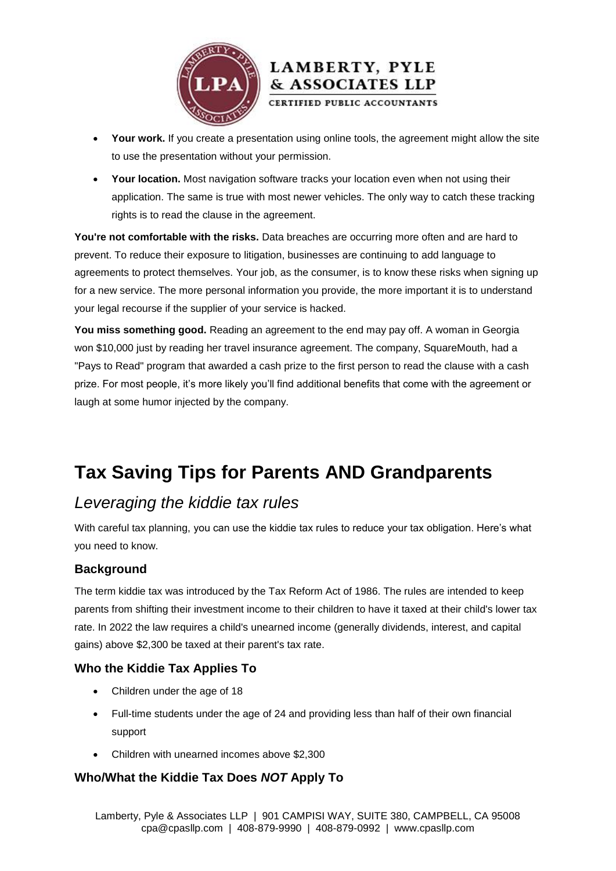



- **Your work.** If you create a presentation using online tools, the agreement might allow the site to use the presentation without your permission.
- **Your location.** Most navigation software tracks your location even when not using their application. The same is true with most newer vehicles. The only way to catch these tracking rights is to read the clause in the agreement.

**You're not comfortable with the risks.** Data breaches are occurring more often and are hard to prevent. To reduce their exposure to litigation, businesses are continuing to add language to agreements to protect themselves. Your job, as the consumer, is to know these risks when signing up for a new service. The more personal information you provide, the more important it is to understand your legal recourse if the supplier of your service is hacked.

**You miss something good.** Reading an agreement to the end may pay off. A woman in Georgia won \$10,000 just by reading her travel insurance agreement. The company, SquareMouth, had a "Pays to Read" program that awarded a cash prize to the first person to read the clause with a cash prize. For most people, it's more likely you'll find additional benefits that come with the agreement or laugh at some humor injected by the company.

## **Tax Saving Tips for Parents AND Grandparents**

### *Leveraging the kiddie tax rules*

With careful tax planning, you can use the kiddie tax rules to reduce your tax obligation. Here's what you need to know.

#### **Background**

The term kiddie tax was introduced by the Tax Reform Act of 1986. The rules are intended to keep parents from shifting their investment income to their children to have it taxed at their child's lower tax rate. In 2022 the law requires a child's unearned income (generally dividends, interest, and capital gains) above \$2,300 be taxed at their parent's tax rate.

#### **Who the Kiddie Tax Applies To**

- Children under the age of 18
- Full-time students under the age of 24 and providing less than half of their own financial support
- Children with unearned incomes above \$2,300

#### **Who/What the Kiddie Tax Does** *NOT* **Apply To**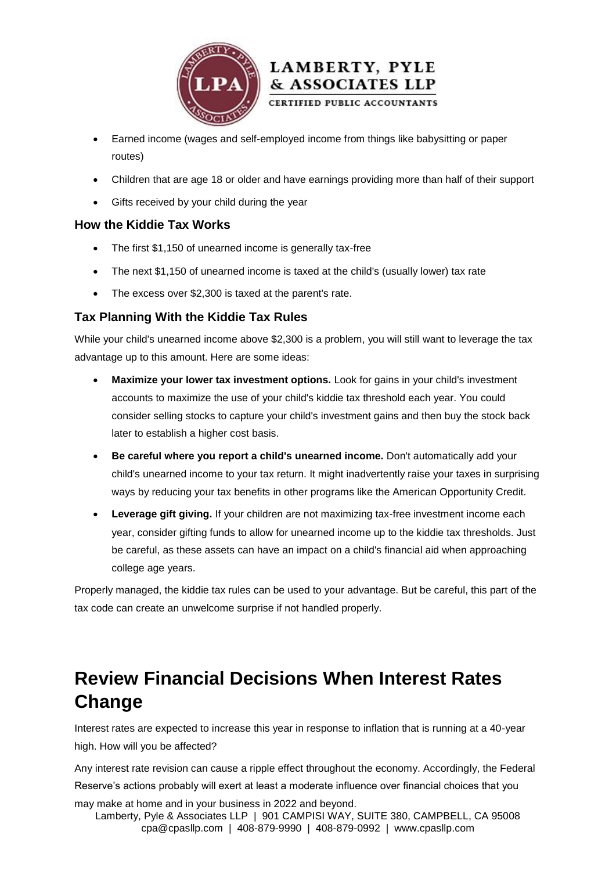



- Earned income (wages and self-employed income from things like babysitting or paper routes)
- Children that are age 18 or older and have earnings providing more than half of their support
- Gifts received by your child during the year

#### **How the Kiddie Tax Works**

- The first \$1,150 of unearned income is generally tax-free
- The next \$1,150 of unearned income is taxed at the child's (usually lower) tax rate
- The excess over \$2,300 is taxed at the parent's rate.

#### **Tax Planning With the Kiddie Tax Rules**

While your child's unearned income above \$2,300 is a problem, you will still want to leverage the tax advantage up to this amount. Here are some ideas:

- **Maximize your lower tax investment options.** Look for gains in your child's investment accounts to maximize the use of your child's kiddie tax threshold each year. You could consider selling stocks to capture your child's investment gains and then buy the stock back later to establish a higher cost basis.
- **Be careful where you report a child's unearned income.** Don't automatically add your child's unearned income to your tax return. It might inadvertently raise your taxes in surprising ways by reducing your tax benefits in other programs like the American Opportunity Credit.
- **Leverage gift giving.** If your children are not maximizing tax-free investment income each year, consider gifting funds to allow for unearned income up to the kiddie tax thresholds. Just be careful, as these assets can have an impact on a child's financial aid when approaching college age years.

Properly managed, the kiddie tax rules can be used to your advantage. But be careful, this part of the tax code can create an unwelcome surprise if not handled properly.

## **Review Financial Decisions When Interest Rates Change**

Interest rates are expected to increase this year in response to inflation that is running at a 40-year high. How will you be affected?

Any interest rate revision can cause a ripple effect throughout the economy. Accordingly, the Federal Reserve's actions probably will exert at least a moderate influence over financial choices that you

Lamberty, Pyle & Associates LLP | 901 CAMPISI WAY, SUITE 380, CAMPBELL, CA 95008 cpa@cpasllp.com | 408-879-9990 | 408-879-0992 | www.cpasllp.com may make at home and in your business in 2022 and beyond.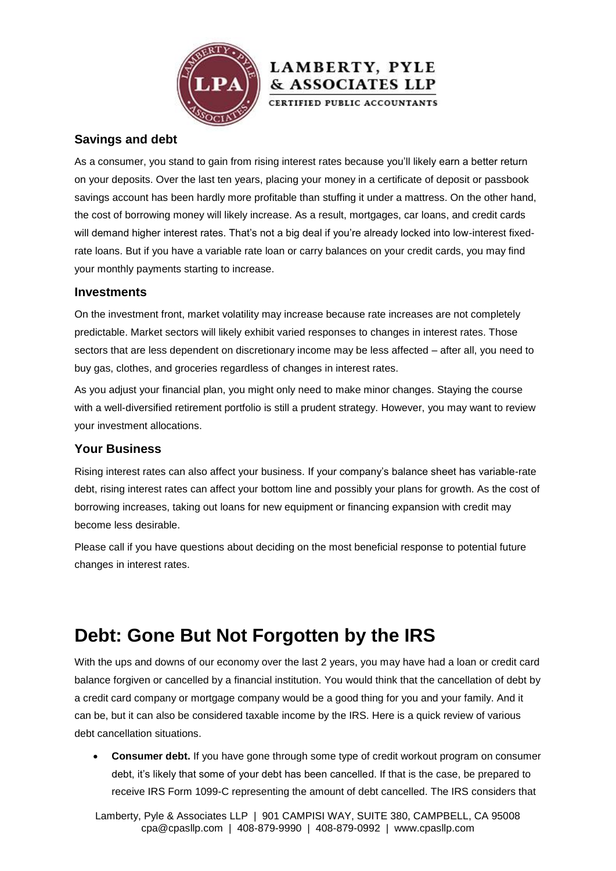

#### **Savings and debt**

As a consumer, you stand to gain from rising interest rates because you'll likely earn a better return on your deposits. Over the last ten years, placing your money in a certificate of deposit or passbook savings account has been hardly more profitable than stuffing it under a mattress. On the other hand, the cost of borrowing money will likely increase. As a result, mortgages, car loans, and credit cards will demand higher interest rates. That's not a big deal if you're already locked into low-interest fixedrate loans. But if you have a variable rate loan or carry balances on your credit cards, you may find your monthly payments starting to increase.

& ASSOCIATES LLP

#### **Investments**

On the investment front, market volatility may increase because rate increases are not completely predictable. Market sectors will likely exhibit varied responses to changes in interest rates. Those sectors that are less dependent on discretionary income may be less affected – after all, you need to buy gas, clothes, and groceries regardless of changes in interest rates.

As you adjust your financial plan, you might only need to make minor changes. Staying the course with a well-diversified retirement portfolio is still a prudent strategy. However, you may want to review your investment allocations.

#### **Your Business**

Rising interest rates can also affect your business. If your company's balance sheet has variable-rate debt, rising interest rates can affect your bottom line and possibly your plans for growth. As the cost of borrowing increases, taking out loans for new equipment or financing expansion with credit may become less desirable.

Please call if you have questions about deciding on the most beneficial response to potential future changes in interest rates.

### **Debt: Gone But Not Forgotten by the IRS**

With the ups and downs of our economy over the last 2 years, you may have had a loan or credit card balance forgiven or cancelled by a financial institution. You would think that the cancellation of debt by a credit card company or mortgage company would be a good thing for you and your family. And it can be, but it can also be considered taxable income by the IRS. Here is a quick review of various debt cancellation situations.

 **Consumer debt.** If you have gone through some type of credit workout program on consumer debt, it's likely that some of your debt has been cancelled. If that is the case, be prepared to receive IRS Form 1099-C representing the amount of debt cancelled. The IRS considers that

Lamberty, Pyle & Associates LLP | 901 CAMPISI WAY, SUITE 380, CAMPBELL, CA 95008 cpa@cpasllp.com | 408-879-9990 | 408-879-0992 | www.cpasllp.com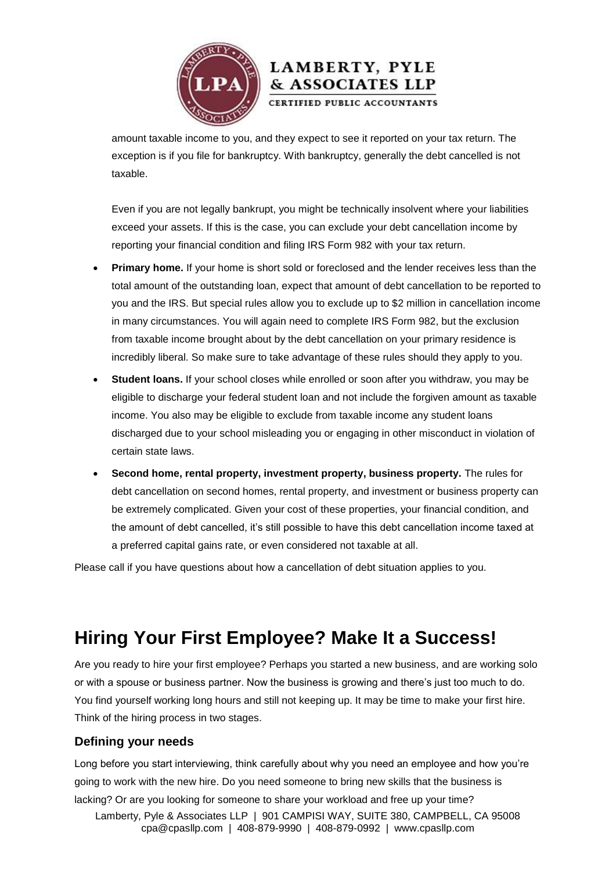

### amount taxable income to you, and they expect to see it reported on your tax return. The exception is if you file for bankruptcy. With bankruptcy, generally the debt cancelled is not taxable.

LAMBERTY, PYLE & ASSOCIATES LLP CERTIFIED PUBLIC ACCOUNTANTS

Even if you are not legally bankrupt, you might be technically insolvent where your liabilities exceed your assets. If this is the case, you can exclude your debt cancellation income by reporting your financial condition and filing IRS Form 982 with your tax return.

- **Primary home.** If your home is short sold or foreclosed and the lender receives less than the total amount of the outstanding loan, expect that amount of debt cancellation to be reported to you and the IRS. But special rules allow you to exclude up to \$2 million in cancellation income in many circumstances. You will again need to complete IRS Form 982, but the exclusion from taxable income brought about by the debt cancellation on your primary residence is incredibly liberal. So make sure to take advantage of these rules should they apply to you.
- **Student loans.** If your school closes while enrolled or soon after you withdraw, you may be eligible to discharge your federal student loan and not include the forgiven amount as taxable income. You also may be eligible to exclude from taxable income any student loans discharged due to your school misleading you or engaging in other misconduct in violation of certain state laws.
- **Second home, rental property, investment property, business property.** The rules for debt cancellation on second homes, rental property, and investment or business property can be extremely complicated. Given your cost of these properties, your financial condition, and the amount of debt cancelled, it's still possible to have this debt cancellation income taxed at a preferred capital gains rate, or even considered not taxable at all.

Please call if you have questions about how a cancellation of debt situation applies to you.

## **Hiring Your First Employee? Make It a Success!**

Are you ready to hire your first employee? Perhaps you started a new business, and are working solo or with a spouse or business partner. Now the business is growing and there's just too much to do. You find yourself working long hours and still not keeping up. It may be time to make your first hire. Think of the hiring process in two stages.

#### **Defining your needs**

Long before you start interviewing, think carefully about why you need an employee and how you're going to work with the new hire. Do you need someone to bring new skills that the business is lacking? Or are you looking for someone to share your workload and free up your time?

Lamberty, Pyle & Associates LLP | 901 CAMPISI WAY, SUITE 380, CAMPBELL, CA 95008 cpa@cpasllp.com | 408-879-9990 | 408-879-0992 | www.cpasllp.com